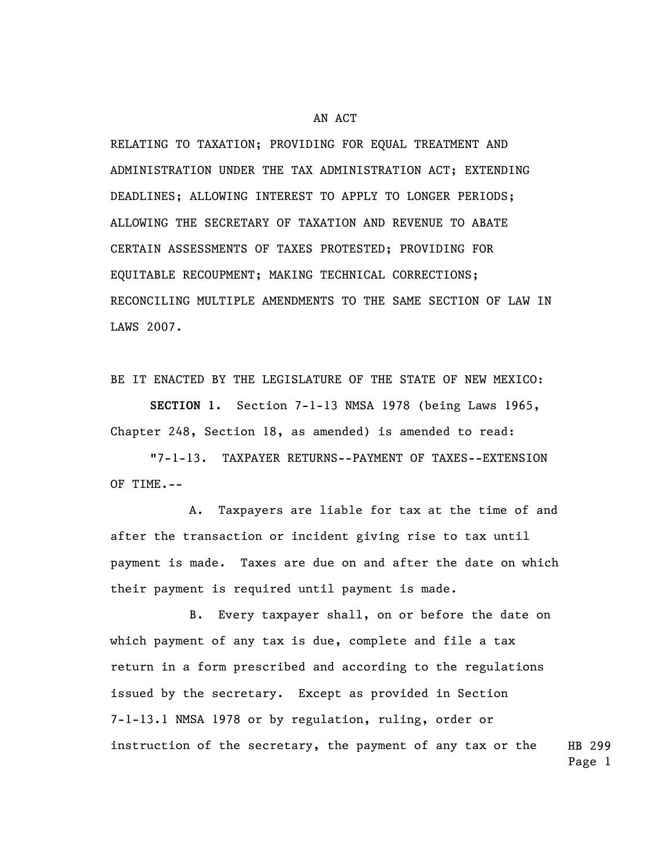## AN ACT

RELATING TO TAXATION; PROVIDING FOR EQUAL TREATMENT AND ADMINISTRATION UNDER THE TAX ADMINISTRATION ACT; EXTENDING DEADLINES; ALLOWING INTEREST TO APPLY TO LONGER PERIODS; ALLOWING THE SECRETARY OF TAXATION AND REVENUE TO ABATE CERTAIN ASSESSMENTS OF TAXES PROTESTED; PROVIDING FOR EQUITABLE RECOUPMENT; MAKING TECHNICAL CORRECTIONS; RECONCILING MULTIPLE AMENDMENTS TO THE SAME SECTION OF LAW IN LAWS 2007.

BE IT ENACTED BY THE LEGISLATURE OF THE STATE OF NEW MEXICO:

**SECTION 1.** Section 7-1-13 NMSA 1978 (being Laws 1965, Chapter 248, Section 18, as amended) is amended to read:

"7-1-13. TAXPAYER RETURNS--PAYMENT OF TAXES--EXTENSION OF TIME.--

A. Taxpayers are liable for tax at the time of and after the transaction or incident giving rise to tax until payment is made. Taxes are due on and after the date on which their payment is required until payment is made.

HB 299 B. Every taxpayer shall, on or before the date on which payment of any tax is due, complete and file a tax return in a form prescribed and according to the regulations issued by the secretary. Except as provided in Section 7-1-13.1 NMSA 1978 or by regulation, ruling, order or instruction of the secretary, the payment of any tax or the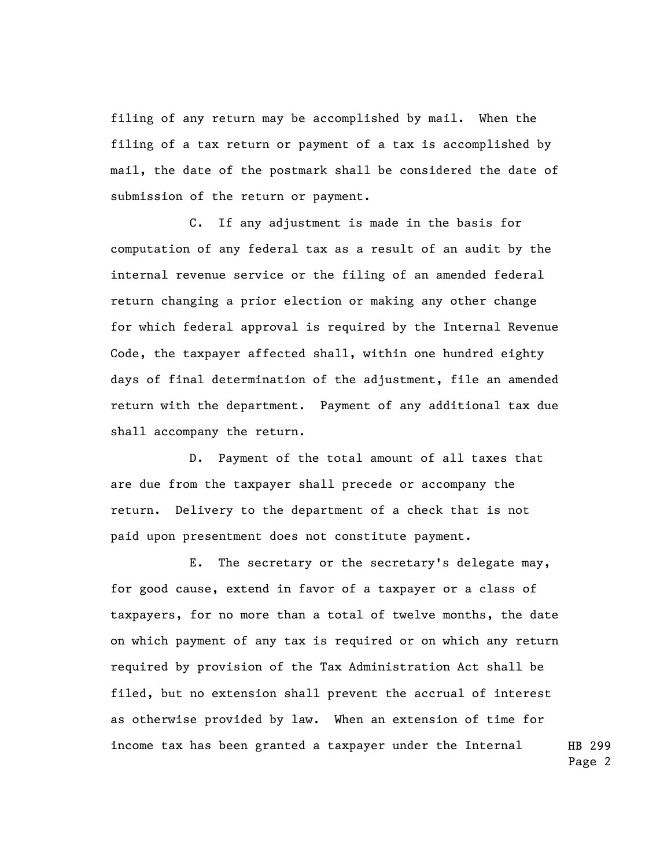filing of any return may be accomplished by mail. When the filing of a tax return or payment of a tax is accomplished by mail, the date of the postmark shall be considered the date of submission of the return or payment.

C. If any adjustment is made in the basis for computation of any federal tax as a result of an audit by the internal revenue service or the filing of an amended federal return changing a prior election or making any other change for which federal approval is required by the Internal Revenue Code, the taxpayer affected shall, within one hundred eighty days of final determination of the adjustment, file an amended return with the department. Payment of any additional tax due shall accompany the return.

D. Payment of the total amount of all taxes that are due from the taxpayer shall precede or accompany the return. Delivery to the department of a check that is not paid upon presentment does not constitute payment.

HB 299 E. The secretary or the secretary's delegate may, for good cause, extend in favor of a taxpayer or a class of taxpayers, for no more than a total of twelve months, the date on which payment of any tax is required or on which any return required by provision of the Tax Administration Act shall be filed, but no extension shall prevent the accrual of interest as otherwise provided by law. When an extension of time for income tax has been granted a taxpayer under the Internal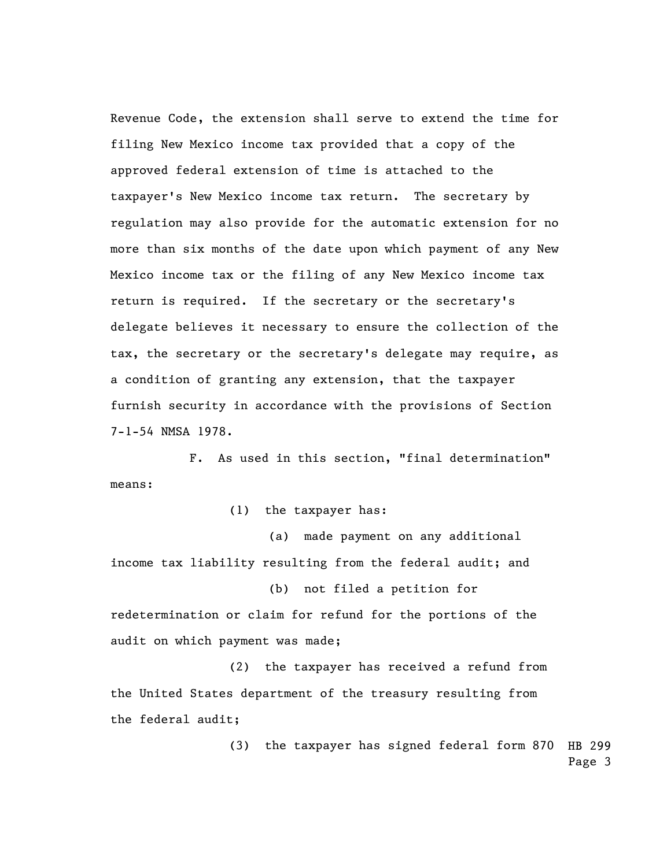Revenue Code, the extension shall serve to extend the time for filing New Mexico income tax provided that a copy of the approved federal extension of time is attached to the taxpayer's New Mexico income tax return. The secretary by regulation may also provide for the automatic extension for no more than six months of the date upon which payment of any New Mexico income tax or the filing of any New Mexico income tax return is required. If the secretary or the secretary's delegate believes it necessary to ensure the collection of the tax, the secretary or the secretary's delegate may require, as a condition of granting any extension, that the taxpayer furnish security in accordance with the provisions of Section 7-1-54 NMSA 1978.

F. As used in this section, "final determination" means:

(1) the taxpayer has:

(a) made payment on any additional income tax liability resulting from the federal audit; and

(b) not filed a petition for redetermination or claim for refund for the portions of the audit on which payment was made;

(2) the taxpayer has received a refund from the United States department of the treasury resulting from the federal audit;

> (3) the taxpayer has signed federal form 870 HB 299 Page 3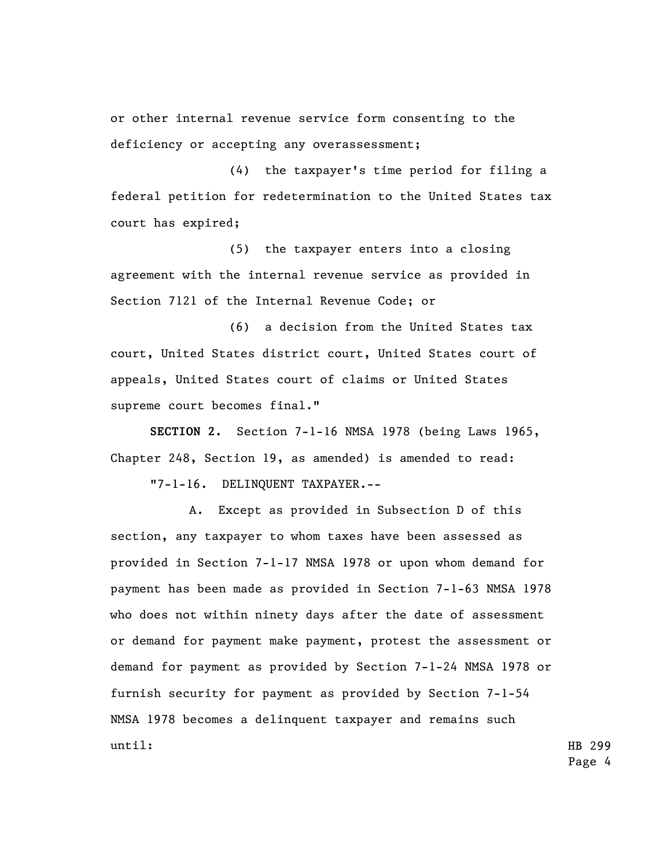or other internal revenue service form consenting to the deficiency or accepting any overassessment;

(4) the taxpayer's time period for filing a federal petition for redetermination to the United States tax court has expired;

(5) the taxpayer enters into a closing agreement with the internal revenue service as provided in Section 7121 of the Internal Revenue Code; or

(6) a decision from the United States tax court, United States district court, United States court of appeals, United States court of claims or United States supreme court becomes final."

**SECTION 2.** Section 7-1-16 NMSA 1978 (being Laws 1965, Chapter 248, Section 19, as amended) is amended to read:

"7-1-16. DELINQUENT TAXPAYER.--

A. Except as provided in Subsection D of this section, any taxpayer to whom taxes have been assessed as provided in Section 7-1-17 NMSA 1978 or upon whom demand for payment has been made as provided in Section 7-1-63 NMSA 1978 who does not within ninety days after the date of assessment or demand for payment make payment, protest the assessment or demand for payment as provided by Section 7-1-24 NMSA 1978 or furnish security for payment as provided by Section 7-1-54 NMSA 1978 becomes a delinquent taxpayer and remains such until:

HB 299 Page 4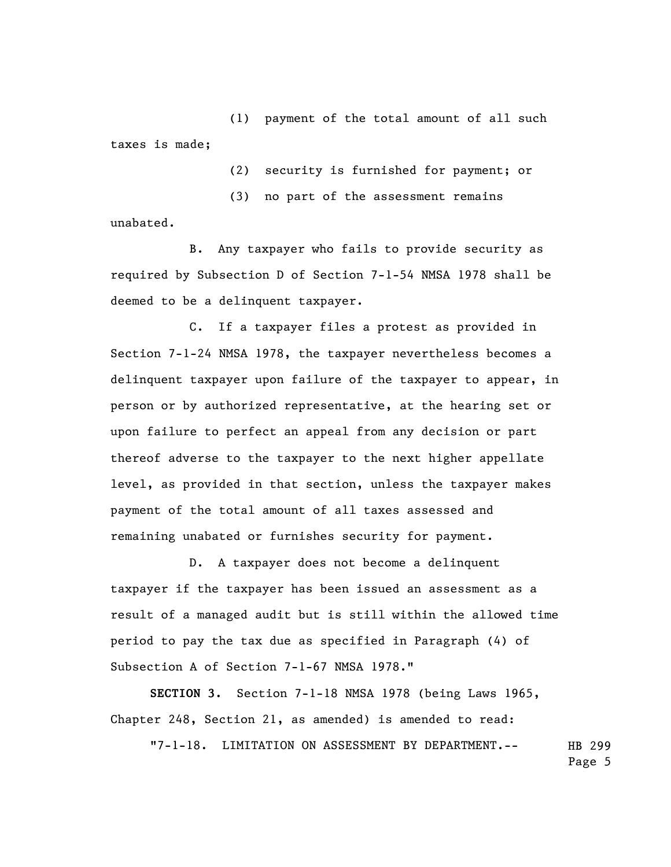(1) payment of the total amount of all such taxes is made;

(2) security is furnished for payment; or

(3) no part of the assessment remains unabated.

B. Any taxpayer who fails to provide security as required by Subsection D of Section 7-1-54 NMSA 1978 shall be deemed to be a delinquent taxpayer.

C. If a taxpayer files a protest as provided in Section 7-1-24 NMSA 1978, the taxpayer nevertheless becomes a delinquent taxpayer upon failure of the taxpayer to appear, in person or by authorized representative, at the hearing set or upon failure to perfect an appeal from any decision or part thereof adverse to the taxpayer to the next higher appellate level, as provided in that section, unless the taxpayer makes payment of the total amount of all taxes assessed and remaining unabated or furnishes security for payment.

D. A taxpayer does not become a delinquent taxpayer if the taxpayer has been issued an assessment as a result of a managed audit but is still within the allowed time period to pay the tax due as specified in Paragraph (4) of Subsection A of Section 7-1-67 NMSA 1978."

**SECTION 3.** Section 7-1-18 NMSA 1978 (being Laws 1965, Chapter 248, Section 21, as amended) is amended to read:

HB 299 "7-1-18. LIMITATION ON ASSESSMENT BY DEPARTMENT.--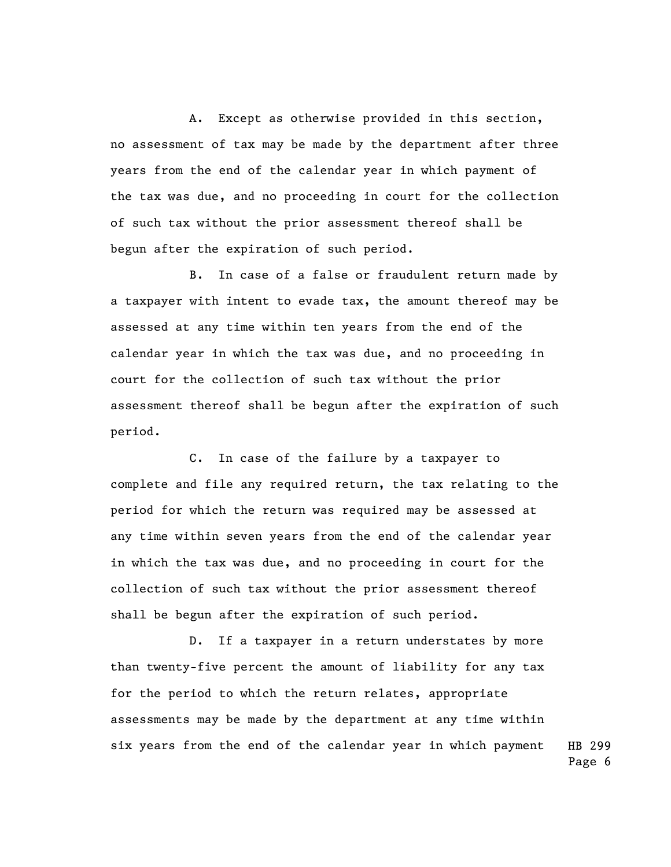A. Except as otherwise provided in this section, no assessment of tax may be made by the department after three years from the end of the calendar year in which payment of the tax was due, and no proceeding in court for the collection of such tax without the prior assessment thereof shall be begun after the expiration of such period.

B. In case of a false or fraudulent return made by a taxpayer with intent to evade tax, the amount thereof may be assessed at any time within ten years from the end of the calendar year in which the tax was due, and no proceeding in court for the collection of such tax without the prior assessment thereof shall be begun after the expiration of such period.

C. In case of the failure by a taxpayer to complete and file any required return, the tax relating to the period for which the return was required may be assessed at any time within seven years from the end of the calendar year in which the tax was due, and no proceeding in court for the collection of such tax without the prior assessment thereof shall be begun after the expiration of such period.

D. If a taxpayer in a return understates by more than twenty-five percent the amount of liability for any tax for the period to which the return relates, appropriate assessments may be made by the department at any time within six years from the end of the calendar year in which payment

HB 299 Page 6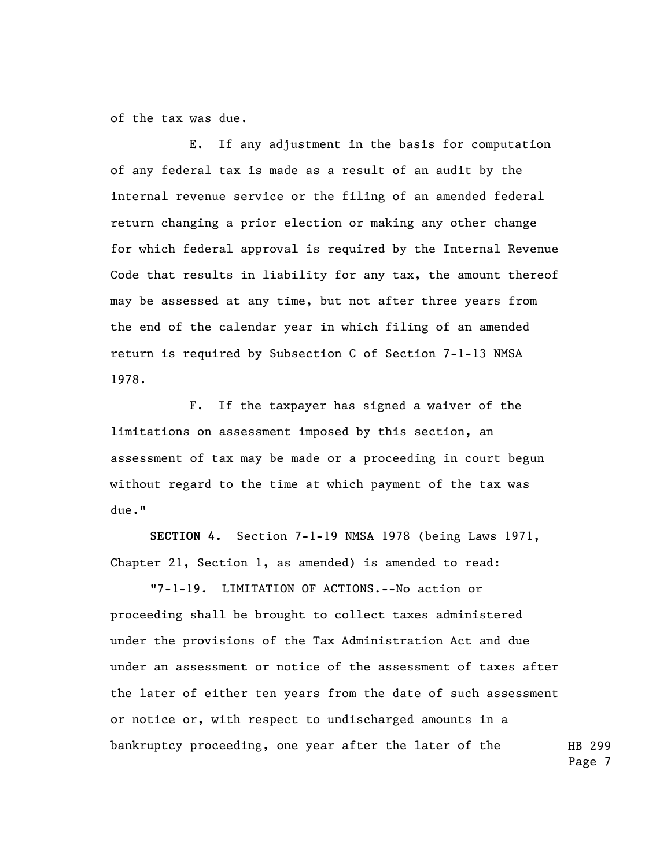of the tax was due.

E. If any adjustment in the basis for computation of any federal tax is made as a result of an audit by the internal revenue service or the filing of an amended federal return changing a prior election or making any other change for which federal approval is required by the Internal Revenue Code that results in liability for any tax, the amount thereof may be assessed at any time, but not after three years from the end of the calendar year in which filing of an amended return is required by Subsection C of Section 7-1-13 NMSA 1978.

F. If the taxpayer has signed a waiver of the limitations on assessment imposed by this section, an assessment of tax may be made or a proceeding in court begun without regard to the time at which payment of the tax was due."

**SECTION 4.** Section 7-1-19 NMSA 1978 (being Laws 1971, Chapter 21, Section 1, as amended) is amended to read:

HB 299 "7-1-19. LIMITATION OF ACTIONS.--No action or proceeding shall be brought to collect taxes administered under the provisions of the Tax Administration Act and due under an assessment or notice of the assessment of taxes after the later of either ten years from the date of such assessment or notice or, with respect to undischarged amounts in a bankruptcy proceeding, one year after the later of the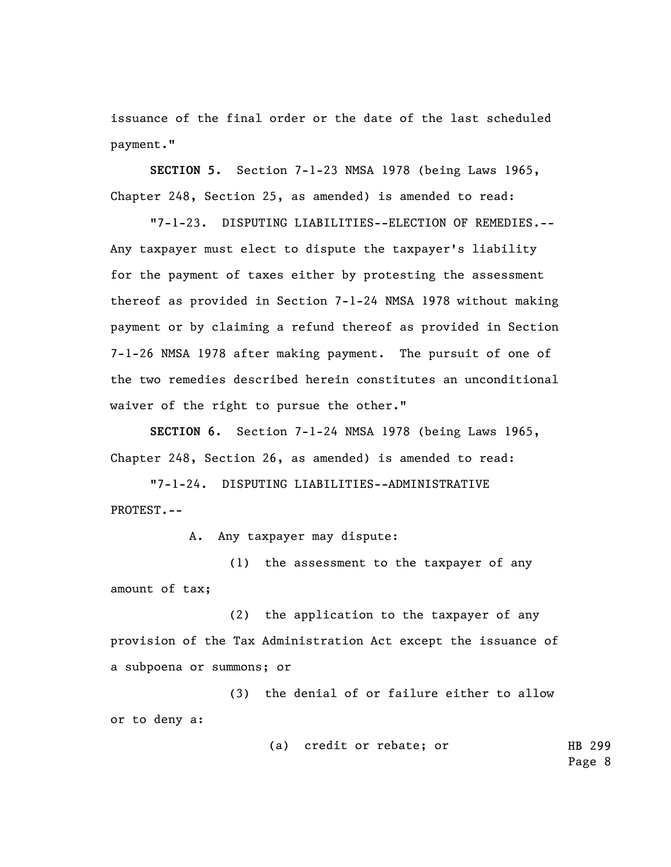issuance of the final order or the date of the last scheduled payment."

**SECTION 5.** Section 7-1-23 NMSA 1978 (being Laws 1965, Chapter 248, Section 25, as amended) is amended to read:

"7-1-23. DISPUTING LIABILITIES--ELECTION OF REMEDIES.-- Any taxpayer must elect to dispute the taxpayer's liability for the payment of taxes either by protesting the assessment thereof as provided in Section 7-1-24 NMSA 1978 without making payment or by claiming a refund thereof as provided in Section 7-1-26 NMSA 1978 after making payment. The pursuit of one of the two remedies described herein constitutes an unconditional waiver of the right to pursue the other."

**SECTION 6.** Section 7-1-24 NMSA 1978 (being Laws 1965, Chapter 248, Section 26, as amended) is amended to read:

"7-1-24. DISPUTING LIABILITIES--ADMINISTRATIVE PROTEST.--

A. Any taxpayer may dispute:

(1) the assessment to the taxpayer of any amount of tax;

(2) the application to the taxpayer of any provision of the Tax Administration Act except the issuance of a subpoena or summons; or

(3) the denial of or failure either to allow or to deny a:

> HB 299 Page 8 (a) credit or rebate; or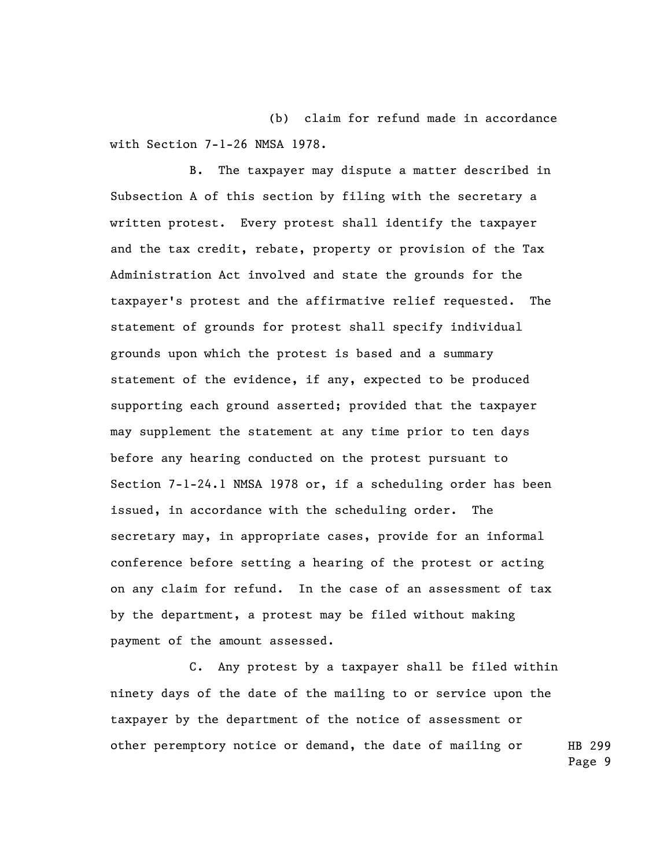(b) claim for refund made in accordance with Section 7-1-26 NMSA 1978.

B. The taxpayer may dispute a matter described in Subsection A of this section by filing with the secretary a written protest. Every protest shall identify the taxpayer and the tax credit, rebate, property or provision of the Tax Administration Act involved and state the grounds for the taxpayer's protest and the affirmative relief requested. The statement of grounds for protest shall specify individual grounds upon which the protest is based and a summary statement of the evidence, if any, expected to be produced supporting each ground asserted; provided that the taxpayer may supplement the statement at any time prior to ten days before any hearing conducted on the protest pursuant to Section 7-1-24.1 NMSA 1978 or, if a scheduling order has been issued, in accordance with the scheduling order. The secretary may, in appropriate cases, provide for an informal conference before setting a hearing of the protest or acting on any claim for refund. In the case of an assessment of tax by the department, a protest may be filed without making payment of the amount assessed.

HB 299 C. Any protest by a taxpayer shall be filed within ninety days of the date of the mailing to or service upon the taxpayer by the department of the notice of assessment or other peremptory notice or demand, the date of mailing or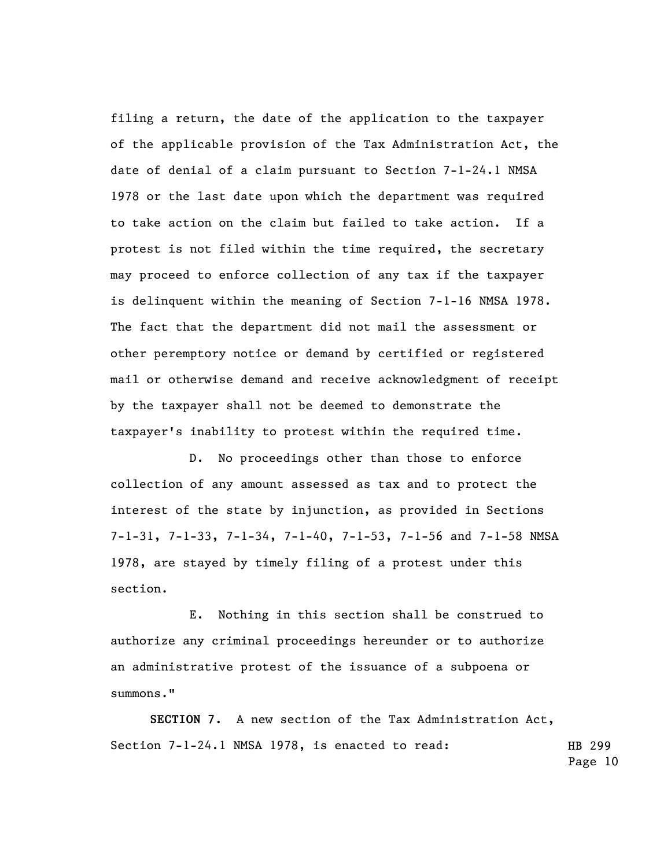filing a return, the date of the application to the taxpayer of the applicable provision of the Tax Administration Act, the date of denial of a claim pursuant to Section 7-1-24.1 NMSA 1978 or the last date upon which the department was required to take action on the claim but failed to take action. If a protest is not filed within the time required, the secretary may proceed to enforce collection of any tax if the taxpayer is delinquent within the meaning of Section 7-1-16 NMSA 1978. The fact that the department did not mail the assessment or other peremptory notice or demand by certified or registered mail or otherwise demand and receive acknowledgment of receipt by the taxpayer shall not be deemed to demonstrate the taxpayer's inability to protest within the required time.

D. No proceedings other than those to enforce collection of any amount assessed as tax and to protect the interest of the state by injunction, as provided in Sections 7-1-31, 7-1-33, 7-1-34, 7-1-40, 7-1-53, 7-1-56 and 7-1-58 NMSA 1978, are stayed by timely filing of a protest under this section.

E. Nothing in this section shall be construed to authorize any criminal proceedings hereunder or to authorize an administrative protest of the issuance of a subpoena or summons."

HB 299 **SECTION 7.** A new section of the Tax Administration Act, Section 7-1-24.1 NMSA 1978, is enacted to read: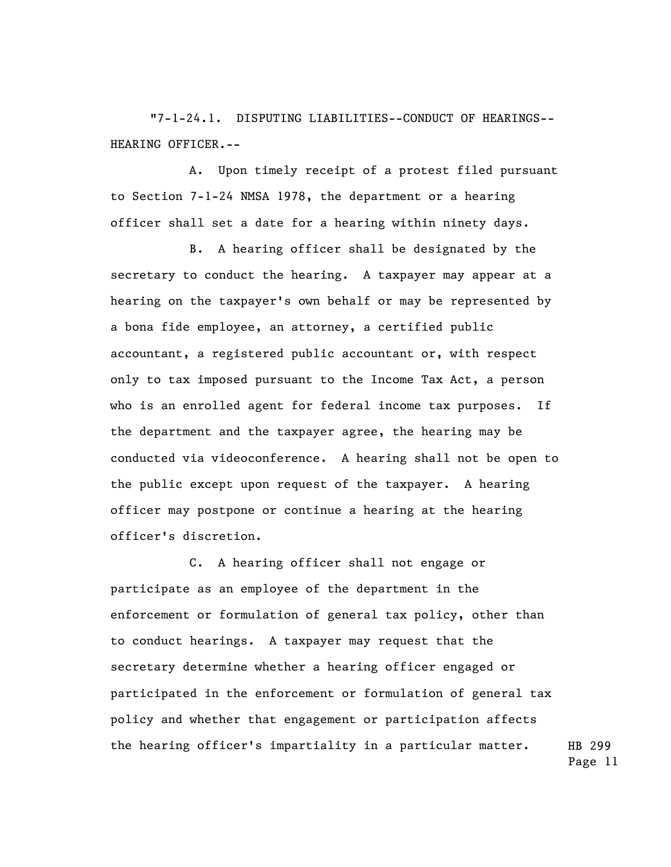"7-1-24.1. DISPUTING LIABILITIES--CONDUCT OF HEARINGS-- HEARING OFFICER.--

A. Upon timely receipt of a protest filed pursuant to Section 7-1-24 NMSA 1978, the department or a hearing officer shall set a date for a hearing within ninety days.

B. A hearing officer shall be designated by the secretary to conduct the hearing. A taxpayer may appear at a hearing on the taxpayer's own behalf or may be represented by a bona fide employee, an attorney, a certified public accountant, a registered public accountant or, with respect only to tax imposed pursuant to the Income Tax Act, a person who is an enrolled agent for federal income tax purposes. If the department and the taxpayer agree, the hearing may be conducted via videoconference. A hearing shall not be open to the public except upon request of the taxpayer. A hearing officer may postpone or continue a hearing at the hearing officer's discretion.

HB 299 C. A hearing officer shall not engage or participate as an employee of the department in the enforcement or formulation of general tax policy, other than to conduct hearings. A taxpayer may request that the secretary determine whether a hearing officer engaged or participated in the enforcement or formulation of general tax policy and whether that engagement or participation affects the hearing officer's impartiality in a particular matter.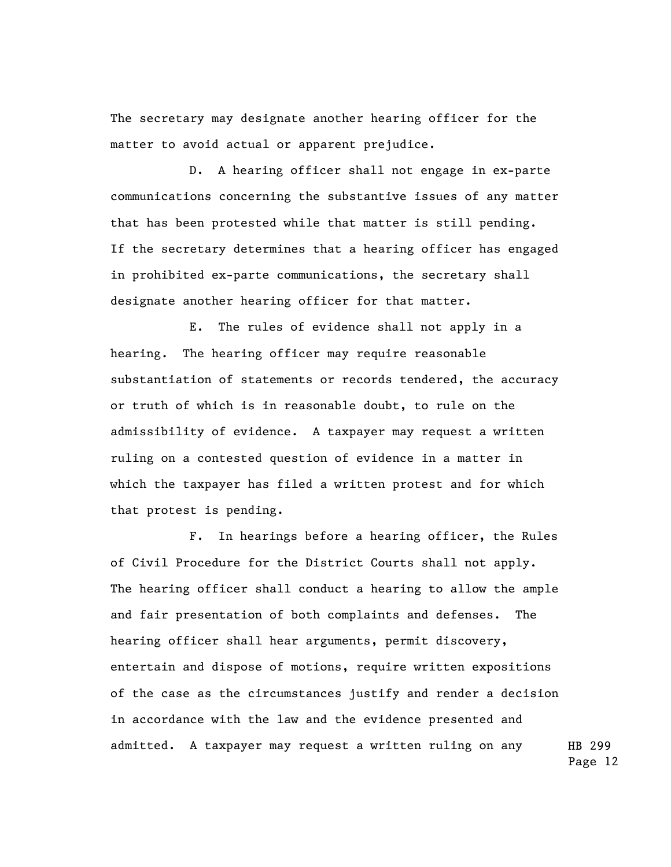The secretary may designate another hearing officer for the matter to avoid actual or apparent prejudice.

D. A hearing officer shall not engage in ex-parte communications concerning the substantive issues of any matter that has been protested while that matter is still pending. If the secretary determines that a hearing officer has engaged in prohibited ex-parte communications, the secretary shall designate another hearing officer for that matter.

E. The rules of evidence shall not apply in a hearing. The hearing officer may require reasonable substantiation of statements or records tendered, the accuracy or truth of which is in reasonable doubt, to rule on the admissibility of evidence. A taxpayer may request a written ruling on a contested question of evidence in a matter in which the taxpayer has filed a written protest and for which that protest is pending.

F. In hearings before a hearing officer, the Rules of Civil Procedure for the District Courts shall not apply. The hearing officer shall conduct a hearing to allow the ample and fair presentation of both complaints and defenses. The hearing officer shall hear arguments, permit discovery, entertain and dispose of motions, require written expositions of the case as the circumstances justify and render a decision in accordance with the law and the evidence presented and admitted. A taxpayer may request a written ruling on any

HB 299 Page 12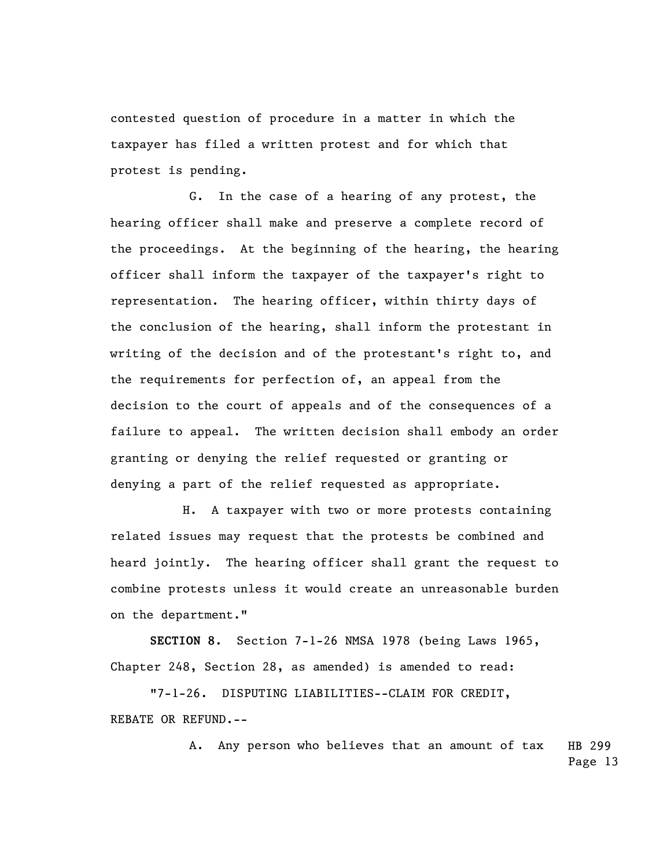contested question of procedure in a matter in which the taxpayer has filed a written protest and for which that protest is pending.

G. In the case of a hearing of any protest, the hearing officer shall make and preserve a complete record of the proceedings. At the beginning of the hearing, the hearing officer shall inform the taxpayer of the taxpayer's right to representation. The hearing officer, within thirty days of the conclusion of the hearing, shall inform the protestant in writing of the decision and of the protestant's right to, and the requirements for perfection of, an appeal from the decision to the court of appeals and of the consequences of a failure to appeal. The written decision shall embody an order granting or denying the relief requested or granting or denying a part of the relief requested as appropriate.

 H. A taxpayer with two or more protests containing related issues may request that the protests be combined and heard jointly. The hearing officer shall grant the request to combine protests unless it would create an unreasonable burden on the department."

**SECTION 8.** Section 7-1-26 NMSA 1978 (being Laws 1965, Chapter 248, Section 28, as amended) is amended to read:

"7-1-26. DISPUTING LIABILITIES--CLAIM FOR CREDIT, REBATE OR REFUND.--

> HB 299 Page 13 A. Any person who believes that an amount of tax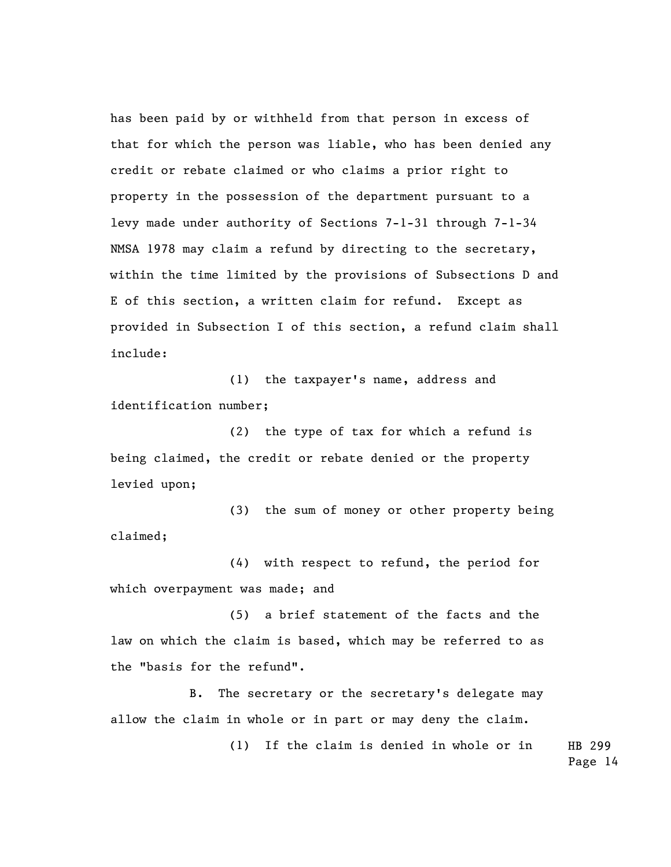has been paid by or withheld from that person in excess of that for which the person was liable, who has been denied any credit or rebate claimed or who claims a prior right to property in the possession of the department pursuant to a levy made under authority of Sections 7-1-31 through 7-1-34 NMSA 1978 may claim a refund by directing to the secretary, within the time limited by the provisions of Subsections D and E of this section, a written claim for refund. Except as provided in Subsection I of this section, a refund claim shall include:

(1) the taxpayer's name, address and identification number;

(2) the type of tax for which a refund is being claimed, the credit or rebate denied or the property levied upon;

(3) the sum of money or other property being claimed;

(4) with respect to refund, the period for which overpayment was made; and

(5) a brief statement of the facts and the law on which the claim is based, which may be referred to as the "basis for the refund".

B. The secretary or the secretary's delegate may allow the claim in whole or in part or may deny the claim.

> HB 299 (1) If the claim is denied in whole or in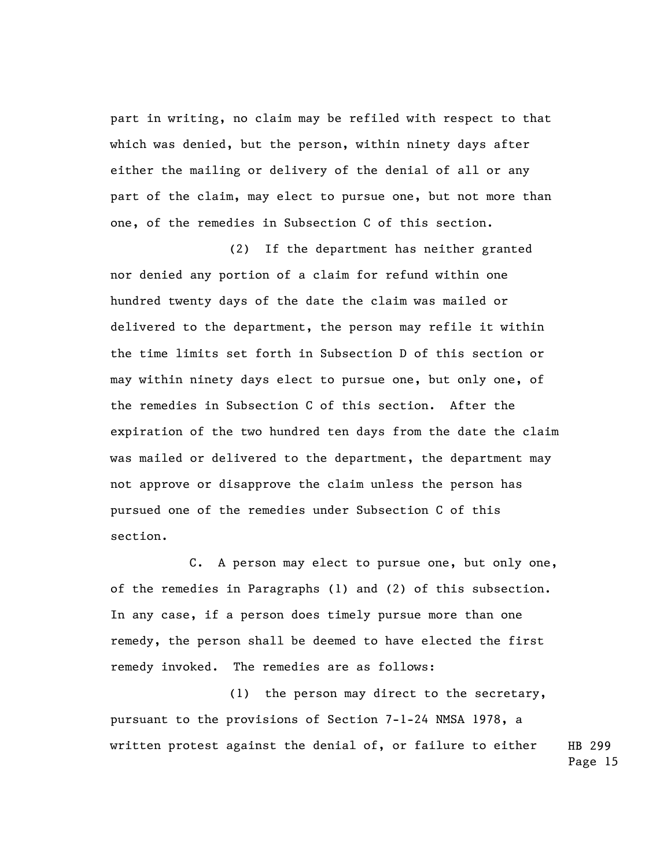part in writing, no claim may be refiled with respect to that which was denied, but the person, within ninety days after either the mailing or delivery of the denial of all or any part of the claim, may elect to pursue one, but not more than one, of the remedies in Subsection C of this section.

(2) If the department has neither granted nor denied any portion of a claim for refund within one hundred twenty days of the date the claim was mailed or delivered to the department, the person may refile it within the time limits set forth in Subsection D of this section or may within ninety days elect to pursue one, but only one, of the remedies in Subsection C of this section. After the expiration of the two hundred ten days from the date the claim was mailed or delivered to the department, the department may not approve or disapprove the claim unless the person has pursued one of the remedies under Subsection C of this section.

C. A person may elect to pursue one, but only one, of the remedies in Paragraphs (1) and (2) of this subsection. In any case, if a person does timely pursue more than one remedy, the person shall be deemed to have elected the first remedy invoked. The remedies are as follows:

HB 299 (1) the person may direct to the secretary, pursuant to the provisions of Section 7-1-24 NMSA 1978, a written protest against the denial of, or failure to either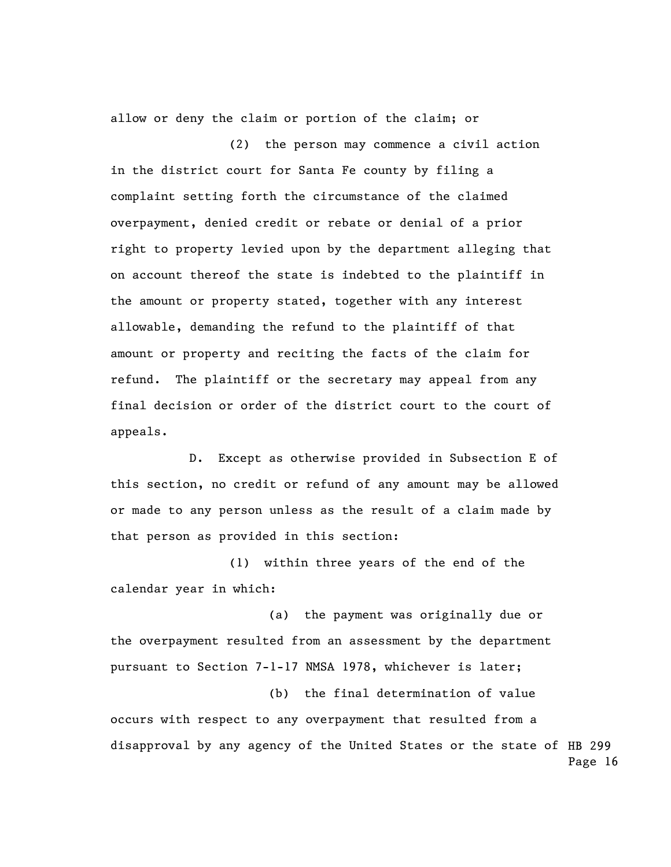allow or deny the claim or portion of the claim; or

(2) the person may commence a civil action in the district court for Santa Fe county by filing a complaint setting forth the circumstance of the claimed overpayment, denied credit or rebate or denial of a prior right to property levied upon by the department alleging that on account thereof the state is indebted to the plaintiff in the amount or property stated, together with any interest allowable, demanding the refund to the plaintiff of that amount or property and reciting the facts of the claim for refund. The plaintiff or the secretary may appeal from any final decision or order of the district court to the court of appeals.

D. Except as otherwise provided in Subsection E of this section, no credit or refund of any amount may be allowed or made to any person unless as the result of a claim made by that person as provided in this section:

(1) within three years of the end of the calendar year in which:

(a) the payment was originally due or the overpayment resulted from an assessment by the department pursuant to Section 7-1-17 NMSA 1978, whichever is later;

disapproval by any agency of the United States or the state of HB 299 Page 16 (b) the final determination of value occurs with respect to any overpayment that resulted from a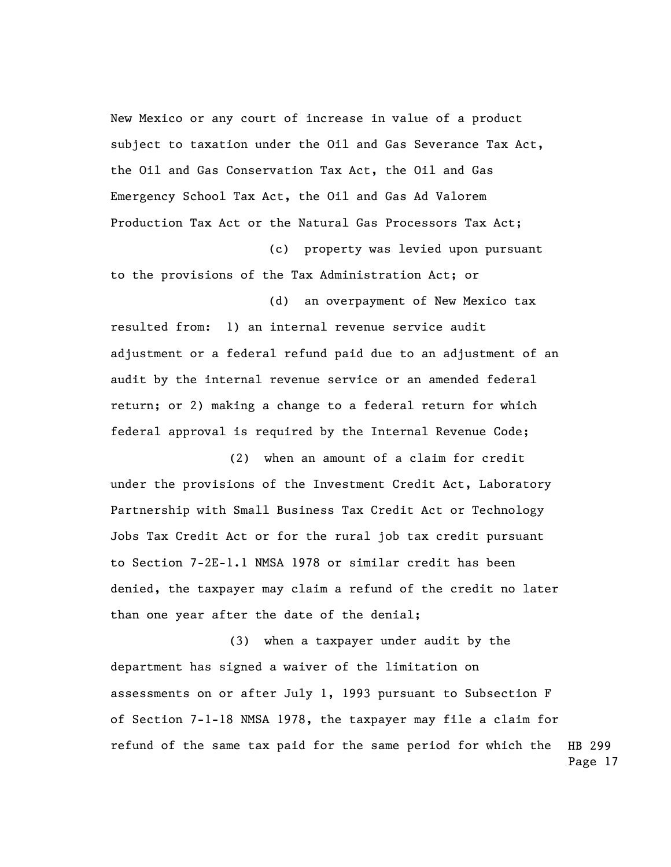New Mexico or any court of increase in value of a product subject to taxation under the Oil and Gas Severance Tax Act, the Oil and Gas Conservation Tax Act, the Oil and Gas Emergency School Tax Act, the Oil and Gas Ad Valorem Production Tax Act or the Natural Gas Processors Tax Act; (c) property was levied upon pursuant

to the provisions of the Tax Administration Act; or (d) an overpayment of New Mexico tax

resulted from: 1) an internal revenue service audit adjustment or a federal refund paid due to an adjustment of an audit by the internal revenue service or an amended federal return; or 2) making a change to a federal return for which federal approval is required by the Internal Revenue Code;

(2) when an amount of a claim for credit under the provisions of the Investment Credit Act, Laboratory Partnership with Small Business Tax Credit Act or Technology Jobs Tax Credit Act or for the rural job tax credit pursuant to Section 7-2E-1.1 NMSA 1978 or similar credit has been denied, the taxpayer may claim a refund of the credit no later than one year after the date of the denial;

HB 299 Page 17 (3) when a taxpayer under audit by the department has signed a waiver of the limitation on assessments on or after July 1, 1993 pursuant to Subsection F of Section 7-1-18 NMSA 1978, the taxpayer may file a claim for refund of the same tax paid for the same period for which the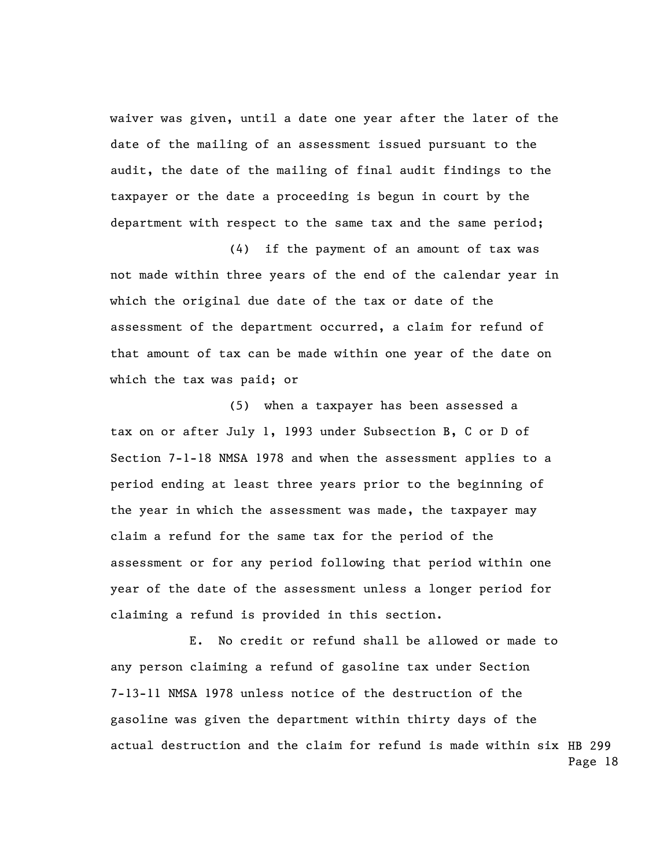waiver was given, until a date one year after the later of the date of the mailing of an assessment issued pursuant to the audit, the date of the mailing of final audit findings to the taxpayer or the date a proceeding is begun in court by the department with respect to the same tax and the same period;

(4) if the payment of an amount of tax was not made within three years of the end of the calendar year in which the original due date of the tax or date of the assessment of the department occurred, a claim for refund of that amount of tax can be made within one year of the date on which the tax was paid; or

(5) when a taxpayer has been assessed a tax on or after July 1, 1993 under Subsection B, C or D of Section 7-1-18 NMSA 1978 and when the assessment applies to a period ending at least three years prior to the beginning of the year in which the assessment was made, the taxpayer may claim a refund for the same tax for the period of the assessment or for any period following that period within one year of the date of the assessment unless a longer period for claiming a refund is provided in this section.

actual destruction and the claim for refund is made within six HB 299 Page 18 E. No credit or refund shall be allowed or made to any person claiming a refund of gasoline tax under Section 7-13-11 NMSA 1978 unless notice of the destruction of the gasoline was given the department within thirty days of the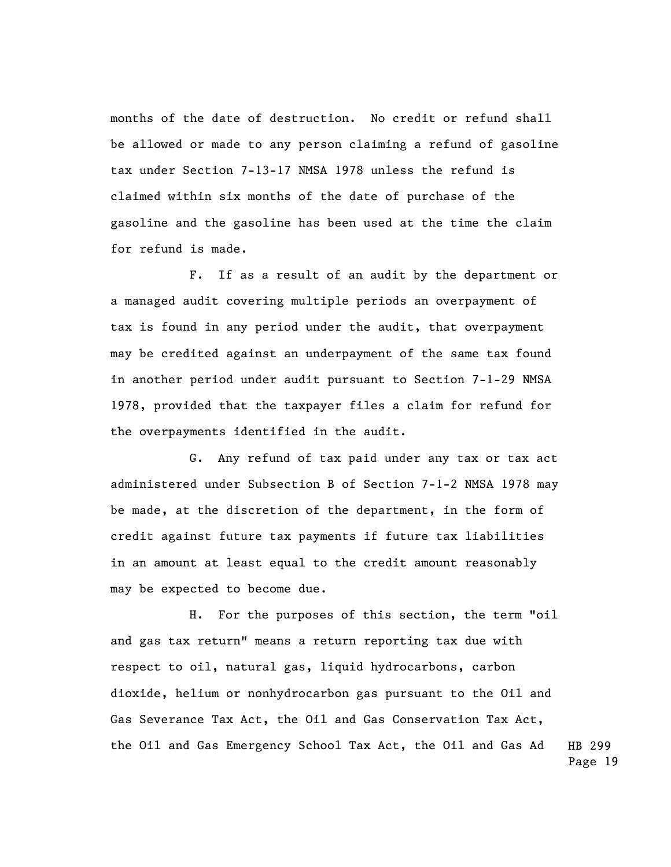months of the date of destruction. No credit or refund shall be allowed or made to any person claiming a refund of gasoline tax under Section 7-13-17 NMSA 1978 unless the refund is claimed within six months of the date of purchase of the gasoline and the gasoline has been used at the time the claim for refund is made.

F. If as a result of an audit by the department or a managed audit covering multiple periods an overpayment of tax is found in any period under the audit, that overpayment may be credited against an underpayment of the same tax found in another period under audit pursuant to Section 7-1-29 NMSA 1978, provided that the taxpayer files a claim for refund for the overpayments identified in the audit.

G. Any refund of tax paid under any tax or tax act administered under Subsection B of Section 7-1-2 NMSA 1978 may be made, at the discretion of the department, in the form of credit against future tax payments if future tax liabilities in an amount at least equal to the credit amount reasonably may be expected to become due.

HB 299 H. For the purposes of this section, the term "oil and gas tax return" means a return reporting tax due with respect to oil, natural gas, liquid hydrocarbons, carbon dioxide, helium or nonhydrocarbon gas pursuant to the Oil and Gas Severance Tax Act, the Oil and Gas Conservation Tax Act, the Oil and Gas Emergency School Tax Act, the Oil and Gas Ad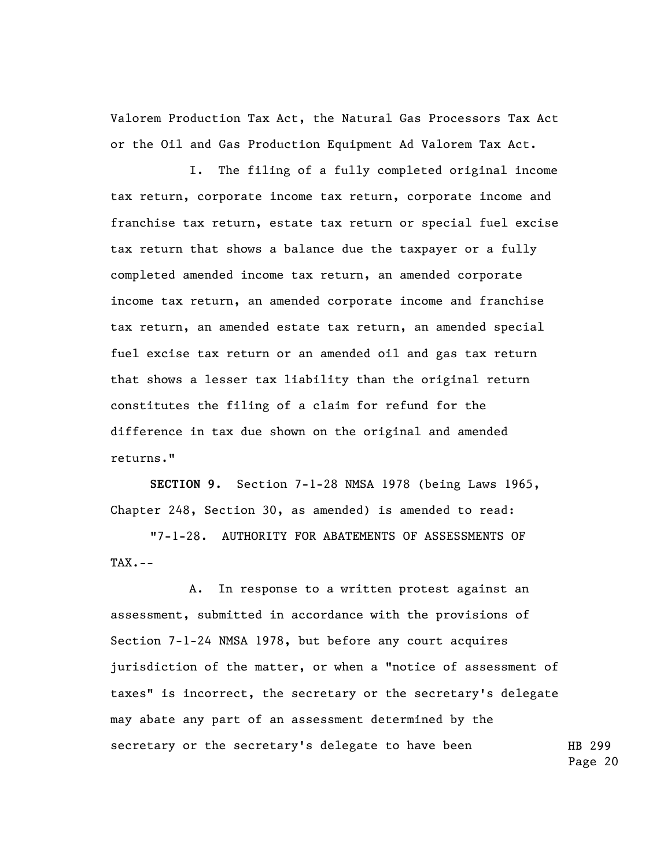Valorem Production Tax Act, the Natural Gas Processors Tax Act or the Oil and Gas Production Equipment Ad Valorem Tax Act.

I. The filing of a fully completed original income tax return, corporate income tax return, corporate income and franchise tax return, estate tax return or special fuel excise tax return that shows a balance due the taxpayer or a fully completed amended income tax return, an amended corporate income tax return, an amended corporate income and franchise tax return, an amended estate tax return, an amended special fuel excise tax return or an amended oil and gas tax return that shows a lesser tax liability than the original return constitutes the filing of a claim for refund for the difference in tax due shown on the original and amended returns."

**SECTION 9.** Section 7-1-28 NMSA 1978 (being Laws 1965, Chapter 248, Section 30, as amended) is amended to read:

"7-1-28. AUTHORITY FOR ABATEMENTS OF ASSESSMENTS OF  $TAX$ .  $--$ 

HB 299 A. In response to a written protest against an assessment, submitted in accordance with the provisions of Section 7-1-24 NMSA 1978, but before any court acquires jurisdiction of the matter, or when a "notice of assessment of taxes" is incorrect, the secretary or the secretary's delegate may abate any part of an assessment determined by the secretary or the secretary's delegate to have been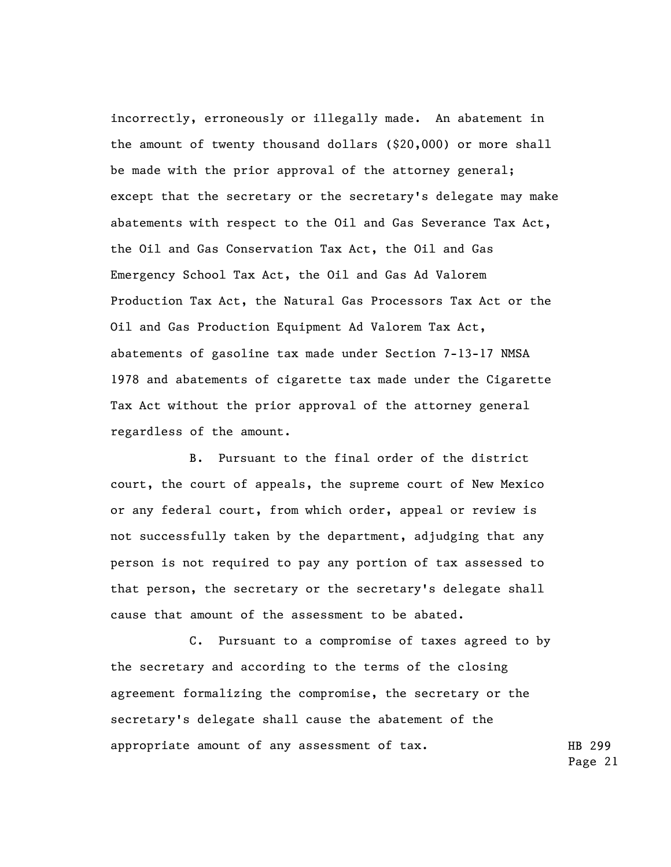incorrectly, erroneously or illegally made. An abatement in the amount of twenty thousand dollars (\$20,000) or more shall be made with the prior approval of the attorney general; except that the secretary or the secretary's delegate may make abatements with respect to the Oil and Gas Severance Tax Act, the Oil and Gas Conservation Tax Act, the Oil and Gas Emergency School Tax Act, the Oil and Gas Ad Valorem Production Tax Act, the Natural Gas Processors Tax Act or the Oil and Gas Production Equipment Ad Valorem Tax Act, abatements of gasoline tax made under Section 7-13-17 NMSA 1978 and abatements of cigarette tax made under the Cigarette Tax Act without the prior approval of the attorney general regardless of the amount.

B. Pursuant to the final order of the district court, the court of appeals, the supreme court of New Mexico or any federal court, from which order, appeal or review is not successfully taken by the department, adjudging that any person is not required to pay any portion of tax assessed to that person, the secretary or the secretary's delegate shall cause that amount of the assessment to be abated.

C. Pursuant to a compromise of taxes agreed to by the secretary and according to the terms of the closing agreement formalizing the compromise, the secretary or the secretary's delegate shall cause the abatement of the appropriate amount of any assessment of tax.

HB 299 Page 21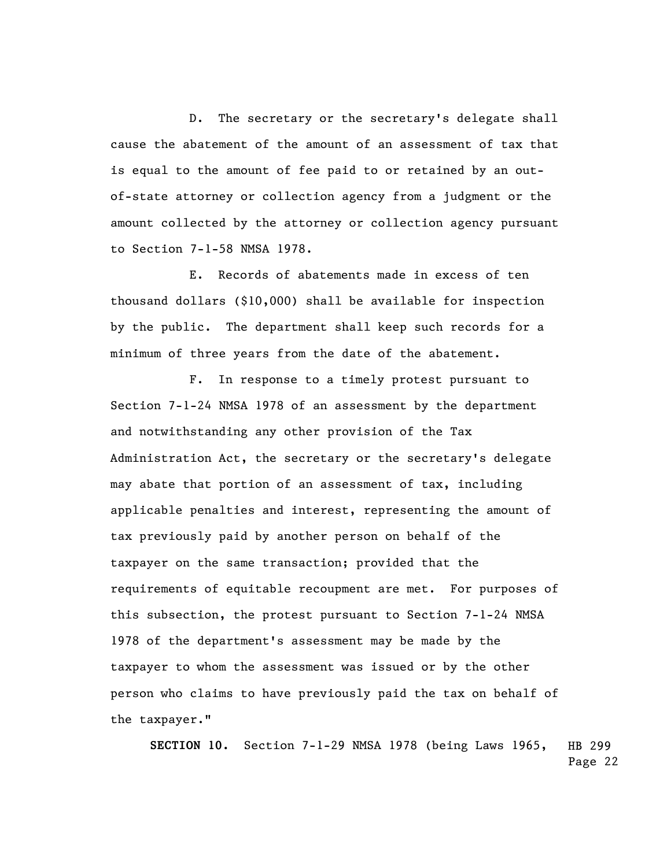D. The secretary or the secretary's delegate shall cause the abatement of the amount of an assessment of tax that is equal to the amount of fee paid to or retained by an outof-state attorney or collection agency from a judgment or the amount collected by the attorney or collection agency pursuant to Section 7-1-58 NMSA 1978.

E. Records of abatements made in excess of ten thousand dollars (\$10,000) shall be available for inspection by the public. The department shall keep such records for a minimum of three years from the date of the abatement.

F. In response to a timely protest pursuant to Section 7-1-24 NMSA 1978 of an assessment by the department and notwithstanding any other provision of the Tax Administration Act, the secretary or the secretary's delegate may abate that portion of an assessment of tax, including applicable penalties and interest, representing the amount of tax previously paid by another person on behalf of the taxpayer on the same transaction; provided that the requirements of equitable recoupment are met. For purposes of this subsection, the protest pursuant to Section 7-1-24 NMSA 1978 of the department's assessment may be made by the taxpayer to whom the assessment was issued or by the other person who claims to have previously paid the tax on behalf of the taxpayer."

HB 299 Page 22 **SECTION 10.** Section 7-1-29 NMSA 1978 (being Laws 1965,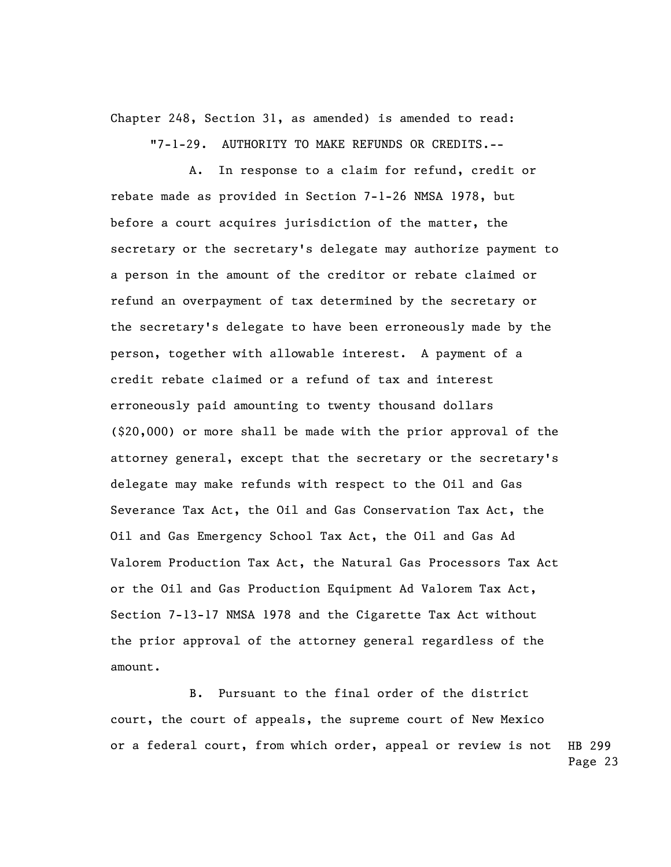Chapter 248, Section 31, as amended) is amended to read:

"7-1-29. AUTHORITY TO MAKE REFUNDS OR CREDITS.--

A. In response to a claim for refund, credit or rebate made as provided in Section 7-1-26 NMSA 1978, but before a court acquires jurisdiction of the matter, the secretary or the secretary's delegate may authorize payment to a person in the amount of the creditor or rebate claimed or refund an overpayment of tax determined by the secretary or the secretary's delegate to have been erroneously made by the person, together with allowable interest. A payment of a credit rebate claimed or a refund of tax and interest erroneously paid amounting to twenty thousand dollars (\$20,000) or more shall be made with the prior approval of the attorney general, except that the secretary or the secretary's delegate may make refunds with respect to the Oil and Gas Severance Tax Act, the Oil and Gas Conservation Tax Act, the Oil and Gas Emergency School Tax Act, the Oil and Gas Ad Valorem Production Tax Act, the Natural Gas Processors Tax Act or the Oil and Gas Production Equipment Ad Valorem Tax Act, Section 7-13-17 NMSA 1978 and the Cigarette Tax Act without the prior approval of the attorney general regardless of the amount.

HB 299 Page 23 B. Pursuant to the final order of the district court, the court of appeals, the supreme court of New Mexico or a federal court, from which order, appeal or review is not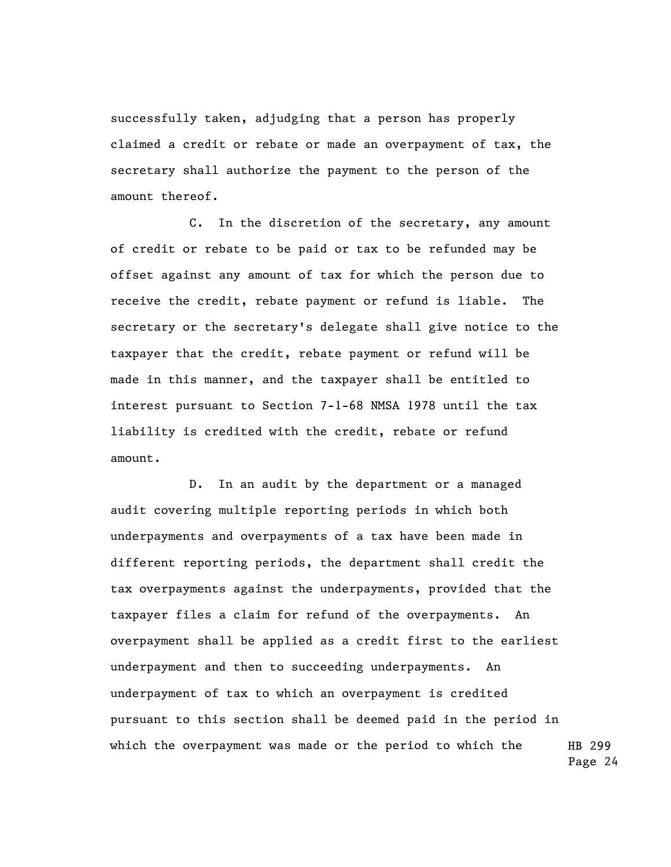successfully taken, adjudging that a person has properly claimed a credit or rebate or made an overpayment of tax, the secretary shall authorize the payment to the person of the amount thereof.

C. In the discretion of the secretary, any amount of credit or rebate to be paid or tax to be refunded may be offset against any amount of tax for which the person due to receive the credit, rebate payment or refund is liable. The secretary or the secretary's delegate shall give notice to the taxpayer that the credit, rebate payment or refund will be made in this manner, and the taxpayer shall be entitled to interest pursuant to Section 7-1-68 NMSA 1978 until the tax liability is credited with the credit, rebate or refund amount.

HB 299 Page 24 D. In an audit by the department or a managed audit covering multiple reporting periods in which both underpayments and overpayments of a tax have been made in different reporting periods, the department shall credit the tax overpayments against the underpayments, provided that the taxpayer files a claim for refund of the overpayments. An overpayment shall be applied as a credit first to the earliest underpayment and then to succeeding underpayments. An underpayment of tax to which an overpayment is credited pursuant to this section shall be deemed paid in the period in which the overpayment was made or the period to which the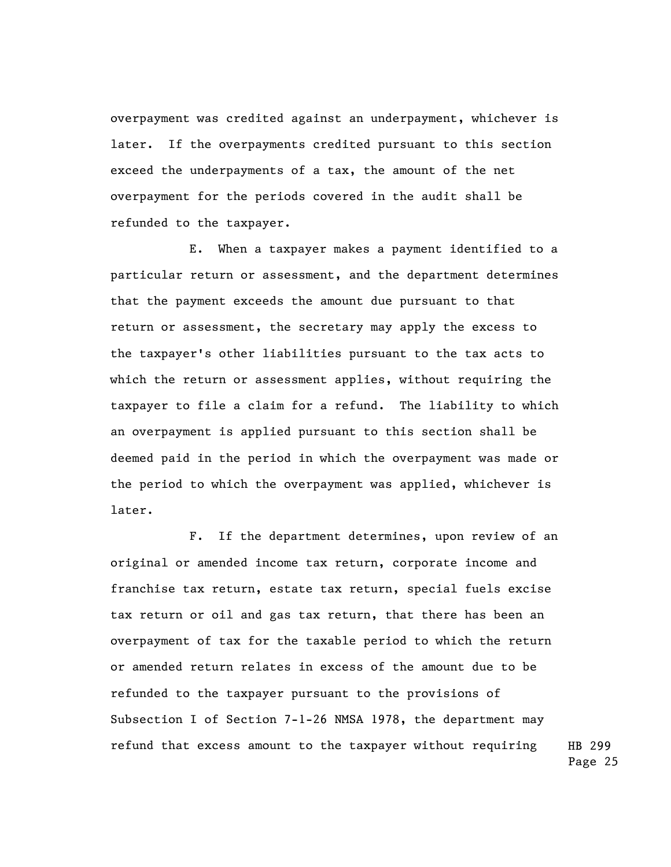overpayment was credited against an underpayment, whichever is later. If the overpayments credited pursuant to this section exceed the underpayments of a tax, the amount of the net overpayment for the periods covered in the audit shall be refunded to the taxpayer.

E. When a taxpayer makes a payment identified to a particular return or assessment, and the department determines that the payment exceeds the amount due pursuant to that return or assessment, the secretary may apply the excess to the taxpayer's other liabilities pursuant to the tax acts to which the return or assessment applies, without requiring the taxpayer to file a claim for a refund. The liability to which an overpayment is applied pursuant to this section shall be deemed paid in the period in which the overpayment was made or the period to which the overpayment was applied, whichever is later.

F. If the department determines, upon review of an original or amended income tax return, corporate income and franchise tax return, estate tax return, special fuels excise tax return or oil and gas tax return, that there has been an overpayment of tax for the taxable period to which the return or amended return relates in excess of the amount due to be refunded to the taxpayer pursuant to the provisions of Subsection I of Section 7-1-26 NMSA 1978, the department may refund that excess amount to the taxpayer without requiring

HB 299 Page 25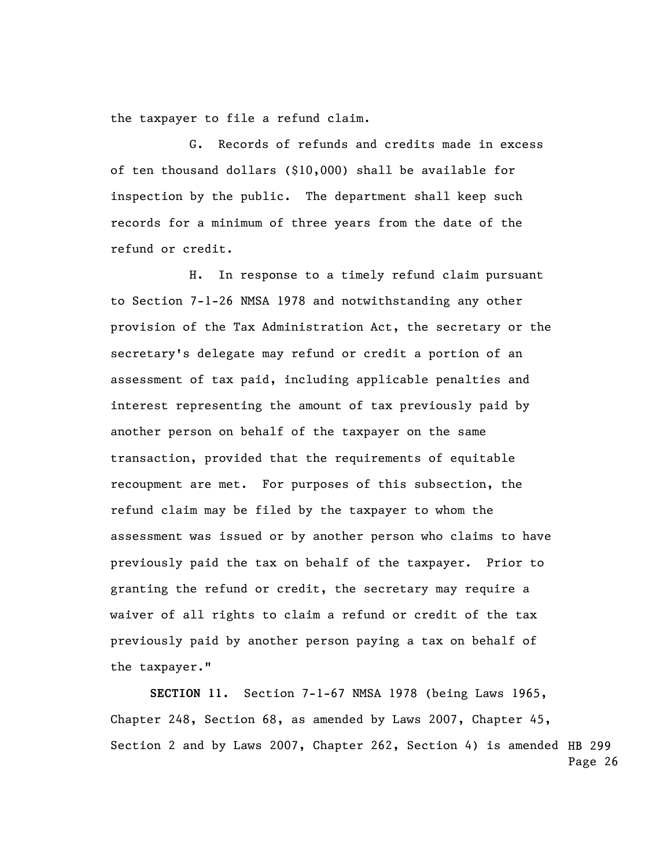the taxpayer to file a refund claim.

 G. Records of refunds and credits made in excess of ten thousand dollars (\$10,000) shall be available for inspection by the public. The department shall keep such records for a minimum of three years from the date of the refund or credit.

H. In response to a timely refund claim pursuant to Section 7-1-26 NMSA 1978 and notwithstanding any other provision of the Tax Administration Act, the secretary or the secretary's delegate may refund or credit a portion of an assessment of tax paid, including applicable penalties and interest representing the amount of tax previously paid by another person on behalf of the taxpayer on the same transaction, provided that the requirements of equitable recoupment are met. For purposes of this subsection, the refund claim may be filed by the taxpayer to whom the assessment was issued or by another person who claims to have previously paid the tax on behalf of the taxpayer. Prior to granting the refund or credit, the secretary may require a waiver of all rights to claim a refund or credit of the tax previously paid by another person paying a tax on behalf of the taxpayer."

Section 2 and by Laws 2007, Chapter 262, Section 4) is amended HB 299 Page 26 **SECTION 11.** Section 7-1-67 NMSA 1978 (being Laws 1965, Chapter 248, Section 68, as amended by Laws 2007, Chapter 45,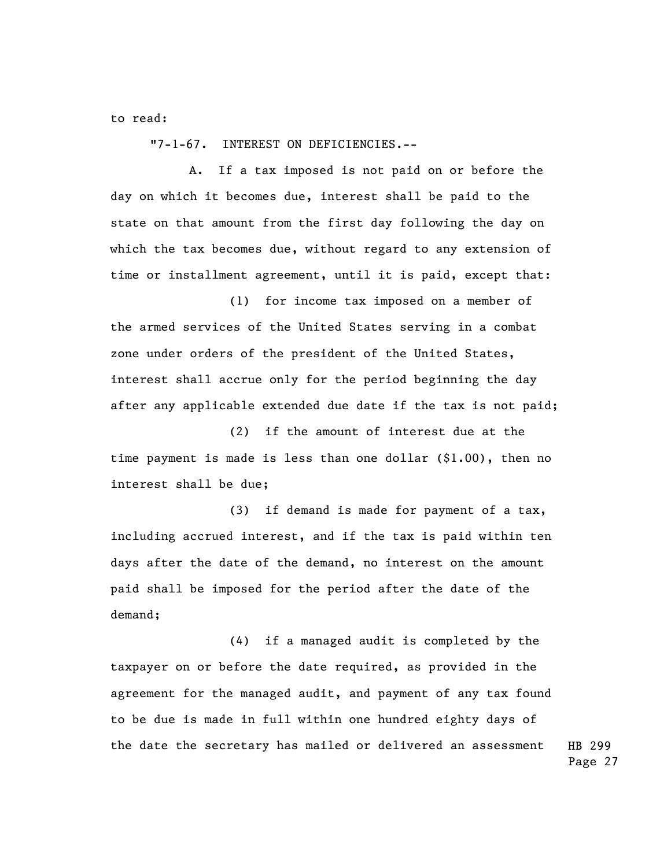to read:

"7-1-67. INTEREST ON DEFICIENCIES.--

A. If a tax imposed is not paid on or before the day on which it becomes due, interest shall be paid to the state on that amount from the first day following the day on which the tax becomes due, without regard to any extension of time or installment agreement, until it is paid, except that:

(1) for income tax imposed on a member of the armed services of the United States serving in a combat zone under orders of the president of the United States, interest shall accrue only for the period beginning the day after any applicable extended due date if the tax is not paid;

(2) if the amount of interest due at the time payment is made is less than one dollar (\$1.00), then no interest shall be due;

(3) if demand is made for payment of a tax, including accrued interest, and if the tax is paid within ten days after the date of the demand, no interest on the amount paid shall be imposed for the period after the date of the demand;

HB 299 (4) if a managed audit is completed by the taxpayer on or before the date required, as provided in the agreement for the managed audit, and payment of any tax found to be due is made in full within one hundred eighty days of the date the secretary has mailed or delivered an assessment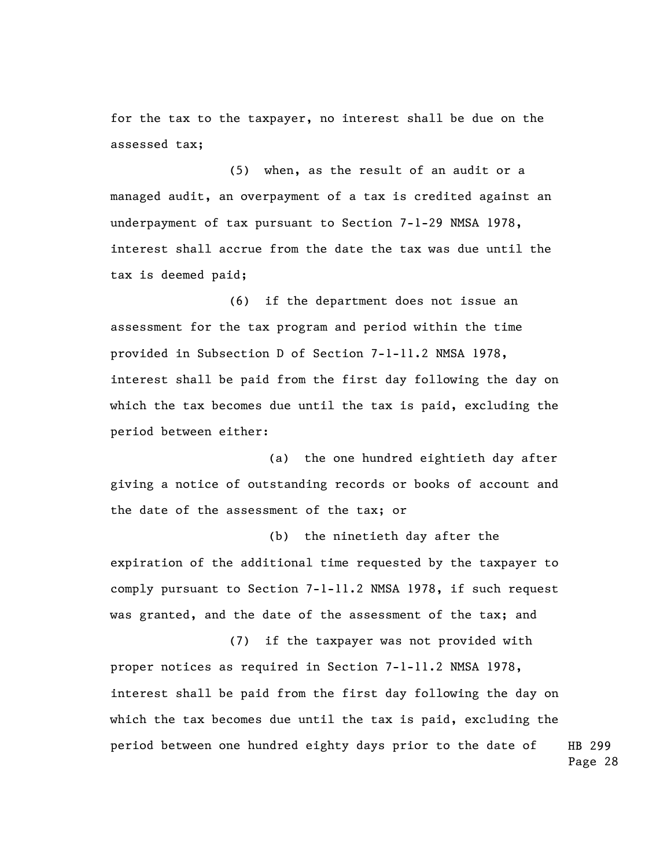for the tax to the taxpayer, no interest shall be due on the assessed tax;

(5) when, as the result of an audit or a managed audit, an overpayment of a tax is credited against an underpayment of tax pursuant to Section 7-1-29 NMSA 1978, interest shall accrue from the date the tax was due until the tax is deemed paid;

(6) if the department does not issue an assessment for the tax program and period within the time provided in Subsection D of Section 7-1-11.2 NMSA 1978, interest shall be paid from the first day following the day on which the tax becomes due until the tax is paid, excluding the period between either:

(a) the one hundred eightieth day after giving a notice of outstanding records or books of account and the date of the assessment of the tax; or

(b) the ninetieth day after the expiration of the additional time requested by the taxpayer to comply pursuant to Section 7-1-11.2 NMSA 1978, if such request was granted, and the date of the assessment of the tax; and

HB 299 (7) if the taxpayer was not provided with proper notices as required in Section 7-1-11.2 NMSA 1978, interest shall be paid from the first day following the day on which the tax becomes due until the tax is paid, excluding the period between one hundred eighty days prior to the date of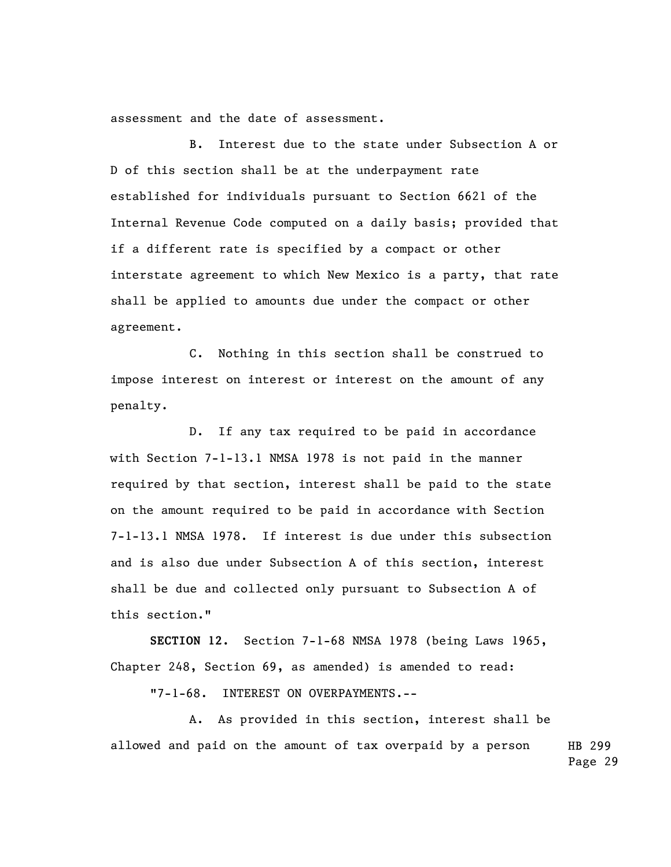assessment and the date of assessment.

B. Interest due to the state under Subsection A or D of this section shall be at the underpayment rate established for individuals pursuant to Section 6621 of the Internal Revenue Code computed on a daily basis; provided that if a different rate is specified by a compact or other interstate agreement to which New Mexico is a party, that rate shall be applied to amounts due under the compact or other agreement.

C. Nothing in this section shall be construed to impose interest on interest or interest on the amount of any penalty.

D. If any tax required to be paid in accordance with Section 7-1-13.1 NMSA 1978 is not paid in the manner required by that section, interest shall be paid to the state on the amount required to be paid in accordance with Section 7-1-13.1 NMSA 1978. If interest is due under this subsection and is also due under Subsection A of this section, interest shall be due and collected only pursuant to Subsection A of this section."

**SECTION 12.** Section 7-1-68 NMSA 1978 (being Laws 1965, Chapter 248, Section 69, as amended) is amended to read:

"7-1-68. INTEREST ON OVERPAYMENTS.--

HB 299 A. As provided in this section, interest shall be allowed and paid on the amount of tax overpaid by a person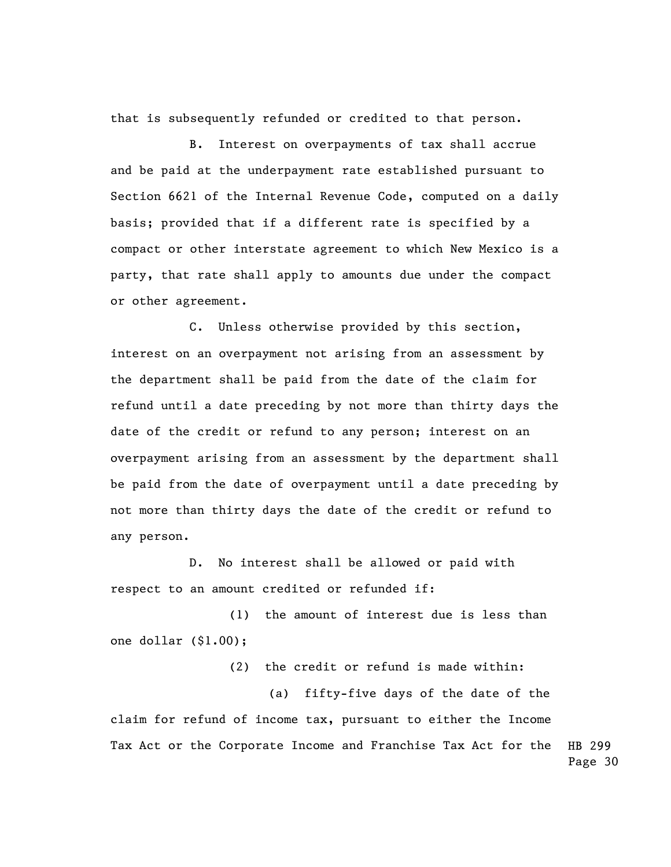that is subsequently refunded or credited to that person.

B. Interest on overpayments of tax shall accrue and be paid at the underpayment rate established pursuant to Section 6621 of the Internal Revenue Code, computed on a daily basis; provided that if a different rate is specified by a compact or other interstate agreement to which New Mexico is a party, that rate shall apply to amounts due under the compact or other agreement.

C. Unless otherwise provided by this section, interest on an overpayment not arising from an assessment by the department shall be paid from the date of the claim for refund until a date preceding by not more than thirty days the date of the credit or refund to any person; interest on an overpayment arising from an assessment by the department shall be paid from the date of overpayment until a date preceding by not more than thirty days the date of the credit or refund to any person.

D. No interest shall be allowed or paid with respect to an amount credited or refunded if:

(1) the amount of interest due is less than one dollar (\$1.00);

(2) the credit or refund is made within:

HB 299 Page 30 (a) fifty-five days of the date of the claim for refund of income tax, pursuant to either the Income Tax Act or the Corporate Income and Franchise Tax Act for the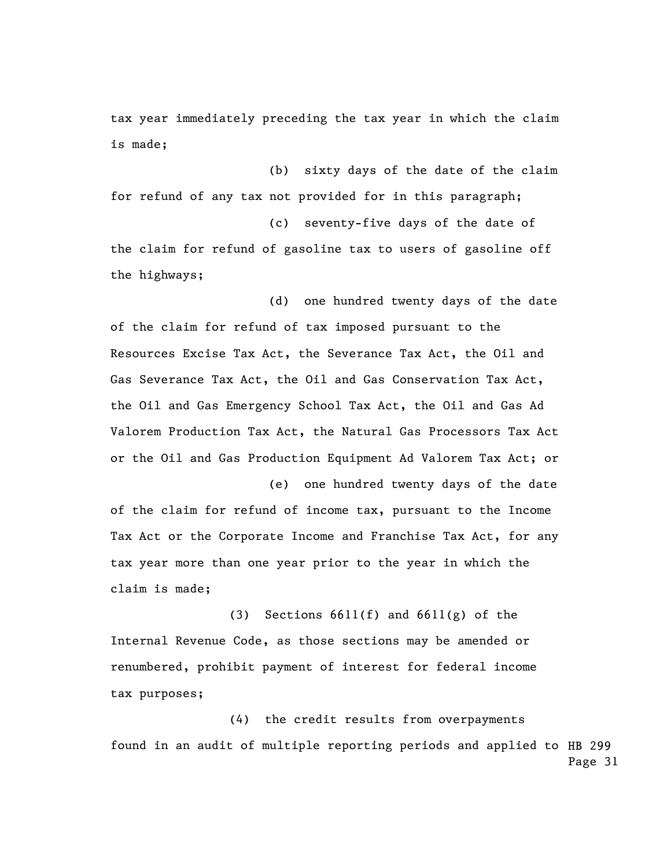tax year immediately preceding the tax year in which the claim is made;

(b) sixty days of the date of the claim for refund of any tax not provided for in this paragraph; (c) seventy-five days of the date of the claim for refund of gasoline tax to users of gasoline off the highways;

(d) one hundred twenty days of the date of the claim for refund of tax imposed pursuant to the Resources Excise Tax Act, the Severance Tax Act, the Oil and Gas Severance Tax Act, the Oil and Gas Conservation Tax Act, the Oil and Gas Emergency School Tax Act, the Oil and Gas Ad Valorem Production Tax Act, the Natural Gas Processors Tax Act or the Oil and Gas Production Equipment Ad Valorem Tax Act; or

(e) one hundred twenty days of the date of the claim for refund of income tax, pursuant to the Income Tax Act or the Corporate Income and Franchise Tax Act, for any tax year more than one year prior to the year in which the claim is made;

(3) Sections 6611(f) and 6611(g) of the Internal Revenue Code, as those sections may be amended or renumbered, prohibit payment of interest for federal income tax purposes;

found in an audit of multiple reporting periods and applied to HB 299 Page 31 (4) the credit results from overpayments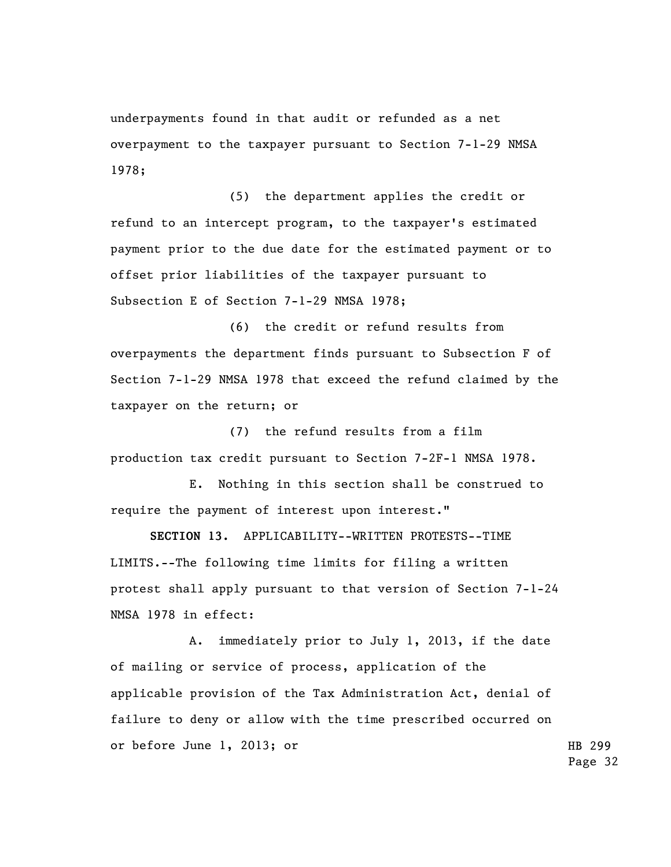underpayments found in that audit or refunded as a net overpayment to the taxpayer pursuant to Section 7-1-29 NMSA 1978;

(5) the department applies the credit or refund to an intercept program, to the taxpayer's estimated payment prior to the due date for the estimated payment or to offset prior liabilities of the taxpayer pursuant to Subsection E of Section 7-1-29 NMSA 1978;

(6) the credit or refund results from overpayments the department finds pursuant to Subsection F of Section 7-1-29 NMSA 1978 that exceed the refund claimed by the taxpayer on the return; or

(7) the refund results from a film production tax credit pursuant to Section 7-2F-1 NMSA 1978.

E. Nothing in this section shall be construed to require the payment of interest upon interest."

**SECTION 13.** APPLICABILITY--WRITTEN PROTESTS--TIME LIMITS.--The following time limits for filing a written protest shall apply pursuant to that version of Section 7-1-24 NMSA 1978 in effect:

A. immediately prior to July 1, 2013, if the date of mailing or service of process, application of the applicable provision of the Tax Administration Act, denial of failure to deny or allow with the time prescribed occurred on or before June 1, 2013; or

HB 299 Page 32